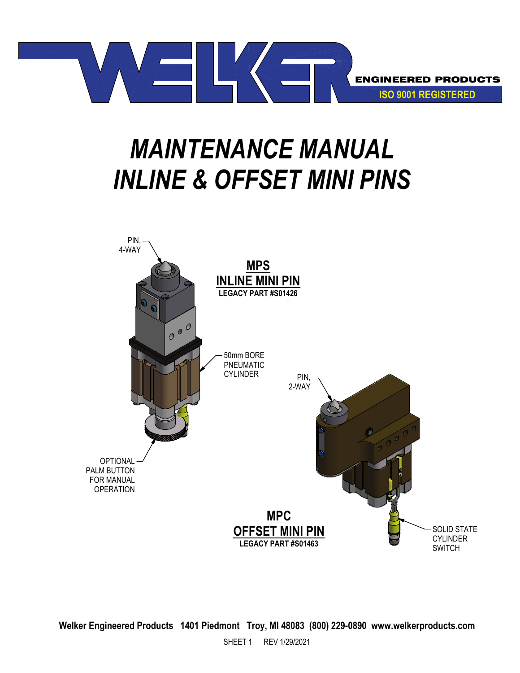

# *MAINTENANCE MANUAL INLINE & OFFSET MINI PINS*



**Welker Engineered Products 1401 Piedmont Troy, MI 48083 (800) 229-0890 www.welkerproducts.com**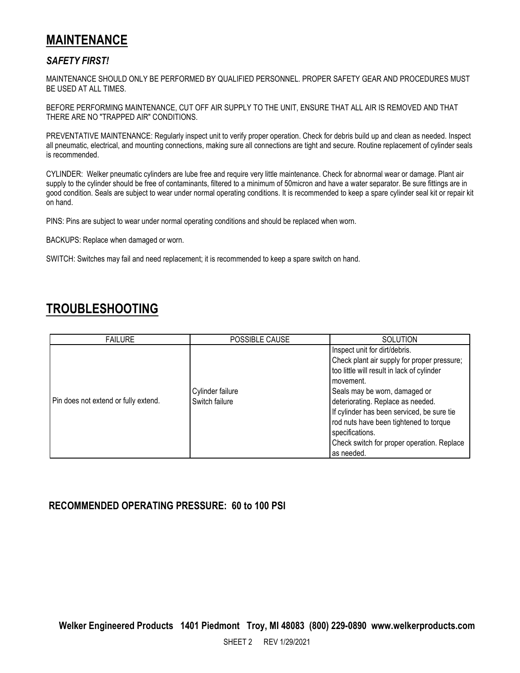## **MAINTENANCE**

#### *SAFETY FIRST!*

MAINTENANCE SHOULD ONLY BE PERFORMED BY QUALIFIED PERSONNEL. PROPER SAFETY GEAR AND PROCEDURES MUST BE USED AT ALL TIMES.

BEFORE PERFORMING MAINTENANCE, CUT OFF AIR SUPPLY TO THE UNIT, ENSURE THAT ALL AIR IS REMOVED AND THAT THERE ARE NO "TRAPPED AIR" CONDITIONS.

PREVENTATIVE MAINTENANCE: Regularly inspect unit to verify proper operation. Check for debris build up and clean as needed. Inspect all pneumatic, electrical, and mounting connections, making sure all connections are tight and secure. Routine replacement of cylinder seals is recommended.

CYLINDER: Welker pneumatic cylinders are lube free and require very little maintenance. Check for abnormal wear or damage. Plant air supply to the cylinder should be free of contaminants, filtered to a minimum of 50micron and have a water separator. Be sure fittings are in good condition. Seals are subject to wear under normal operating conditions. It is recommended to keep a spare cylinder seal kit or repair kit on hand.

PINS: Pins are subject to wear under normal operating conditions and should be replaced when worn.

BACKUPS: Replace when damaged or worn.

SWITCH: Switches may fail and need replacement; it is recommended to keep a spare switch on hand.

## **TROUBLESHOOTING**

| <b>FAILURE</b>                       | POSSIBLE CAUSE                     | <b>SOLUTION</b>                                                                                                                                                                                                                                                                                                                                                                      |
|--------------------------------------|------------------------------------|--------------------------------------------------------------------------------------------------------------------------------------------------------------------------------------------------------------------------------------------------------------------------------------------------------------------------------------------------------------------------------------|
| Pin does not extend or fully extend. | Cylinder failure<br>Switch failure | Inspect unit for dirt/debris.<br>Check plant air supply for proper pressure;<br>too little will result in lack of cylinder<br>movement.<br>Seals may be worn, damaged or<br>deteriorating. Replace as needed.<br>If cylinder has been serviced, be sure tie<br>rod nuts have been tightened to torque<br>specifications.<br>Check switch for proper operation. Replace<br>as needed. |

### **RECOMMENDED OPERATING PRESSURE: 60 to 100 PSI**

**Welker Engineered Products 1401 Piedmont Troy, MI 48083 (800) 229-0890 www.welkerproducts.com**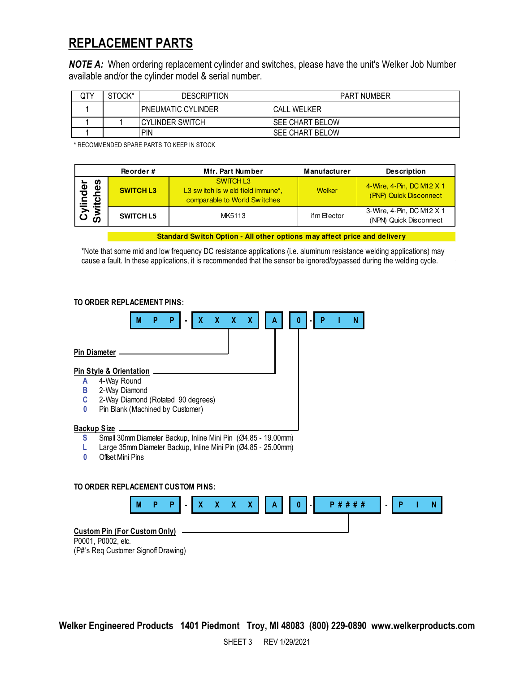## **REPLACEMENT PARTS**

*NOTE A:* When ordering replacement cylinder and switches, please have the unit's Welker Job Number available and/or the cylinder model & serial number.

| QTY | STOCK* | DESCRIPTION               | <b>PART NUMBER</b> |
|-----|--------|---------------------------|--------------------|
|     |        | <b>PNEUMATIC CYLINDER</b> | <b>CALL WELKER</b> |
|     |        | I CYLINDER SWITCH         | l SEE CHART BELOW  |
|     |        | PIN                       | l SEE CHART BELOW  |

\* RECOMMENDED SPARE PARTS TO KEEP IN STOCK

|                                             | Reorder#         | Mfr. Part Number                                                                           | <b>Manufacturer</b> | <b>Description</b>                                  |
|---------------------------------------------|------------------|--------------------------------------------------------------------------------------------|---------------------|-----------------------------------------------------|
| n<br>ಕ<br>ರ<br>Φ<br>c<br>ylin<br>witcl<br>ഗ | <b>SWITCH L3</b> | SWITCH L3<br>L3 switch is weld field immune <sup>*</sup> .<br>comparable to World Switches | Welker              | 4-Wire, 4-Pin, DC M12 X 1<br>(PNP) Quick Disconnect |
|                                             | <b>SWITCH L5</b> | MK5113                                                                                     | if m Efector        | 3-Wire, 4-Pin, DC M12 X 1<br>(NPN) Quick Disconnect |

**Standard Switch Option - All other options may affect price and delivery**

\*Note that some mid and low frequency DC resistance applications (i.e. aluminum resistance welding applications) may cause a fault. In these applications, it is recommended that the sensor be ignored/bypassed during the welding cycle.

#### **TO ORDER REPLACEMENT PINS:**



P0001, P0002, etc. (P#'s Req Customer Signoff Drawing)

**Welker Engineered Products 1401 Piedmont Troy, MI 48083 (800) 229-0890 www.welkerproducts.com**